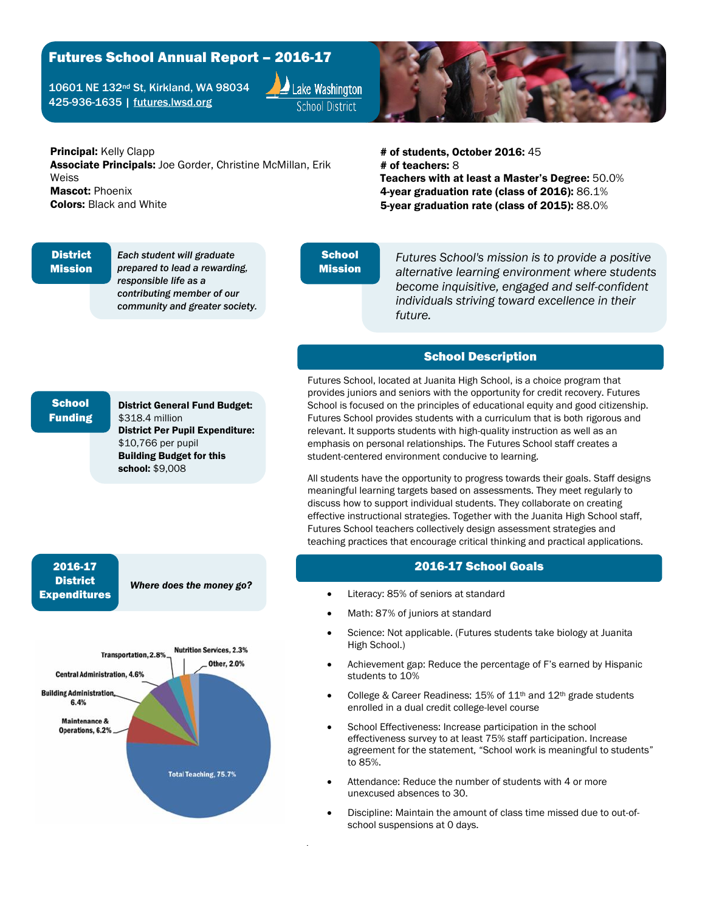# Futures School Annual Report – 2016-17

10601 NE 132nd St, Kirkland, WA 98034 425-936-1635 | [futures.lwsd.org](http://futures.lwsd.org/)





### Principal: Kelly Clapp

Associate Principals: Joe Gorder, Christine McMillan, Erik Weiss Mascot: Phoenix Colors: Black and White

# of students, October 2016: 45 # of teachers: 8 Teachers with at least a Master's Degree: 50.0% 4-year graduation rate (class of 2016): 86.1% 5-year graduation rate (class of 2015): 88.0%

#### **District** Mission

*Each student will graduate prepared to lead a rewarding, responsible life as a contributing member of our community and greater society.*

#### **School** Mission

*Futures School's mission is to provide a positive alternative learning environment where students become inquisitive, engaged and self-confident individuals striving toward excellence in their future.*

# School Description

Futures School, located at Juanita High School, is a choice program that provides juniors and seniors with the opportunity for credit recovery. Futures School is focused on the principles of educational equity and good citizenship. Futures School provides students with a curriculum that is both rigorous and relevant. It supports students with high-quality instruction as well as an emphasis on personal relationships. The Futures School staff creates a student-centered environment conducive to learning.

All students have the opportunity to progress towards their goals. Staff designs meaningful learning targets based on assessments. They meet regularly to discuss how to support individual students. They collaborate on creating effective instructional strategies. Together with the Juanita High School staff, Futures School teachers collectively design assessment strategies and teaching practices that encourage critical thinking and practical applications.

## 2016-17 School Goals

- Literacy: 85% of seniors at standard
- Math: 87% of juniors at standard
- Science: Not applicable. (Futures students take biology at Juanita High School.)
- Achievement gap: Reduce the percentage of F's earned by Hispanic students to 10%
- College & Career Readiness: 15% of 11th and 12th grade students enrolled in a dual credit college-level course
- School Effectiveness: Increase participation in the school effectiveness survey to at least 75% staff participation. Increase agreement for the statement, "School work is meaningful to students" to 85%.
- Attendance: Reduce the number of students with 4 or more unexcused absences to 30.
- Discipline: Maintain the amount of class time missed due to out-ofschool suspensions at 0 days.

### **School** Funding

District General Fund Budget: \$318.4 million District Per Pupil Expenditure: \$10,766 per pupil Building Budget for this school: \$9,008

### 2016-17 **District** Expenditures

*Where does the money go?*